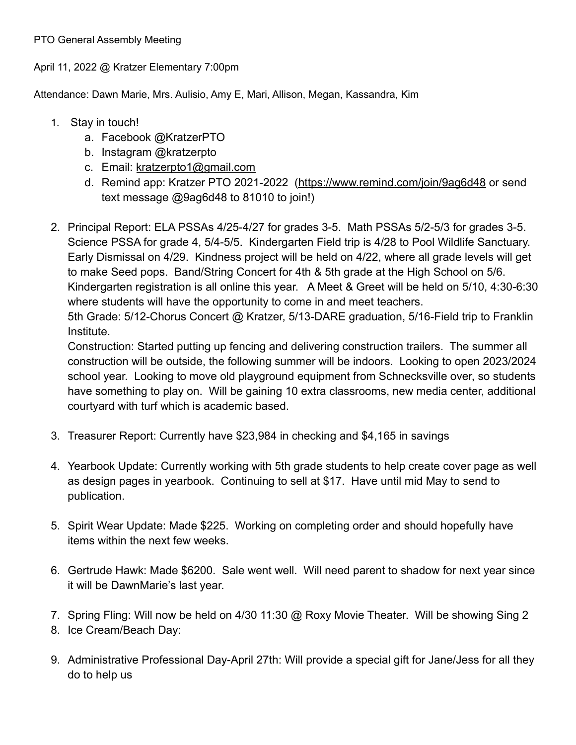PTO General Assembly Meeting

April 11, 2022 @ Kratzer Elementary 7:00pm

Attendance: Dawn Marie, Mrs. Aulisio, Amy E, Mari, Allison, Megan, Kassandra, Kim

- 1. Stay in touch!
	- a. Facebook @KratzerPTO
	- b. Instagram @kratzerpto
	- c. Email: [kratzerpto1@gmail.com](mailto:kratzerpto1@gmail.com)
	- d. Remind app: Kratzer PTO 2021-2022 [\(https://www.remind.com/join/9ag6d48](https://www.remind.com/join/9ag6d48) or send text message @9ag6d48 to 81010 to join!)
- 2. Principal Report: ELA PSSAs 4/25-4/27 for grades 3-5. Math PSSAs 5/2-5/3 for grades 3-5. Science PSSA for grade 4, 5/4-5/5. Kindergarten Field trip is 4/28 to Pool Wildlife Sanctuary. Early Dismissal on 4/29. Kindness project will be held on 4/22, where all grade levels will get to make Seed pops. Band/String Concert for 4th & 5th grade at the High School on 5/6. Kindergarten registration is all online this year. A Meet & Greet will be held on 5/10, 4:30-6:30 where students will have the opportunity to come in and meet teachers.

5th Grade: 5/12-Chorus Concert @ Kratzer, 5/13-DARE graduation, 5/16-Field trip to Franklin Institute.

Construction: Started putting up fencing and delivering construction trailers. The summer all construction will be outside, the following summer will be indoors. Looking to open 2023/2024 school year. Looking to move old playground equipment from Schnecksville over, so students have something to play on. Will be gaining 10 extra classrooms, new media center, additional courtyard with turf which is academic based.

- 3. Treasurer Report: Currently have \$23,984 in checking and \$4,165 in savings
- 4. Yearbook Update: Currently working with 5th grade students to help create cover page as well as design pages in yearbook. Continuing to sell at \$17. Have until mid May to send to publication.
- 5. Spirit Wear Update: Made \$225. Working on completing order and should hopefully have items within the next few weeks.
- 6. Gertrude Hawk: Made \$6200. Sale went well. Will need parent to shadow for next year since it will be DawnMarie's last year.
- 7. Spring Fling: Will now be held on 4/30 11:30 @ Roxy Movie Theater. Will be showing Sing 2
- 8. Ice Cream/Beach Day:
- 9. Administrative Professional Day-April 27th: Will provide a special gift for Jane/Jess for all they do to help us